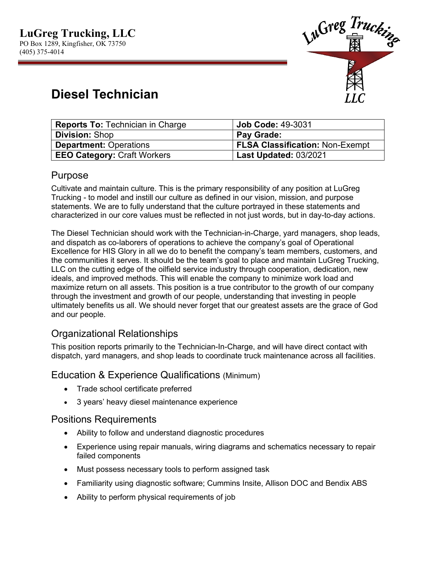

# **Diesel Technician**

| <b>Reports To: Technician in Charge</b> | $\,$ Job Code: 49-3031                 |
|-----------------------------------------|----------------------------------------|
| <b>Division: Shop</b>                   | <b>Pay Grade:</b>                      |
| <b>Department: Operations</b>           | <b>FLSA Classification: Non-Exempt</b> |
| <b>EEO Category: Craft Workers</b>      | Last Updated: 03/2021                  |

## Purpose

Cultivate and maintain culture. This is the primary responsibility of any position at LuGreg Trucking - to model and instill our culture as defined in our vision, mission, and purpose statements. We are to fully understand that the culture portrayed in these statements and characterized in our core values must be reflected in not just words, but in day-to-day actions.

The Diesel Technician should work with the Technician-in-Charge, yard managers, shop leads, and dispatch as co-laborers of operations to achieve the company's goal of Operational Excellence for HIS Glory in all we do to benefit the company's team members, customers, and the communities it serves. It should be the team's goal to place and maintain LuGreg Trucking, LLC on the cutting edge of the oilfield service industry through cooperation, dedication, new ideals, and improved methods. This will enable the company to minimize work load and maximize return on all assets. This position is a true contributor to the growth of our company through the investment and growth of our people, understanding that investing in people ultimately benefits us all. We should never forget that our greatest assets are the grace of God and our people.

# Organizational Relationships

This position reports primarily to the Technician-In-Charge, and will have direct contact with dispatch, yard managers, and shop leads to coordinate truck maintenance across all facilities.

#### Education & Experience Qualifications (Minimum)

- Trade school certificate preferred
- 3 years' heavy diesel maintenance experience

#### Positions Requirements

- Ability to follow and understand diagnostic procedures
- Experience using repair manuals, wiring diagrams and schematics necessary to repair failed components
- Must possess necessary tools to perform assigned task
- Familiarity using diagnostic software; Cummins Insite, Allison DOC and Bendix ABS
- Ability to perform physical requirements of job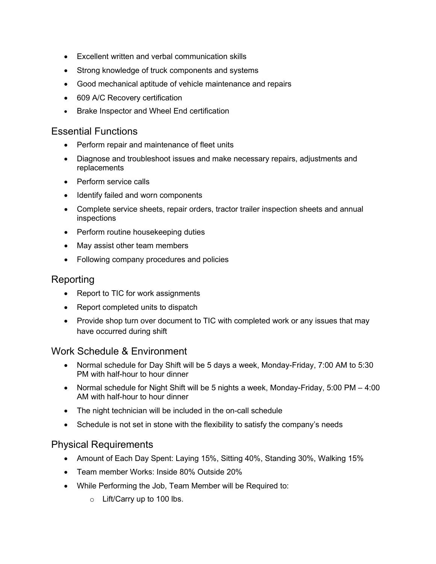- Excellent written and verbal communication skills
- Strong knowledge of truck components and systems
- Good mechanical aptitude of vehicle maintenance and repairs
- 609 A/C Recovery certification
- Brake Inspector and Wheel End certification

#### Essential Functions

- Perform repair and maintenance of fleet units
- Diagnose and troubleshoot issues and make necessary repairs, adjustments and replacements
- Perform service calls
- Identify failed and worn components
- Complete service sheets, repair orders, tractor trailer inspection sheets and annual inspections
- Perform routine housekeeping duties
- May assist other team members
- Following company procedures and policies

#### Reporting

- Report to TIC for work assignments
- Report completed units to dispatch
- Provide shop turn over document to TIC with completed work or any issues that may have occurred during shift

#### Work Schedule & Environment

- Normal schedule for Day Shift will be 5 days a week, Monday-Friday, 7:00 AM to 5:30 PM with half-hour to hour dinner
- Normal schedule for Night Shift will be 5 nights a week, Monday-Friday, 5:00 PM 4:00 AM with half-hour to hour dinner
- The night technician will be included in the on-call schedule
- Schedule is not set in stone with the flexibility to satisfy the company's needs

#### Physical Requirements

- Amount of Each Day Spent: Laying 15%, Sitting 40%, Standing 30%, Walking 15%
- Team member Works: Inside 80% Outside 20%
- While Performing the Job, Team Member will be Required to:
	- o Lift/Carry up to 100 lbs.